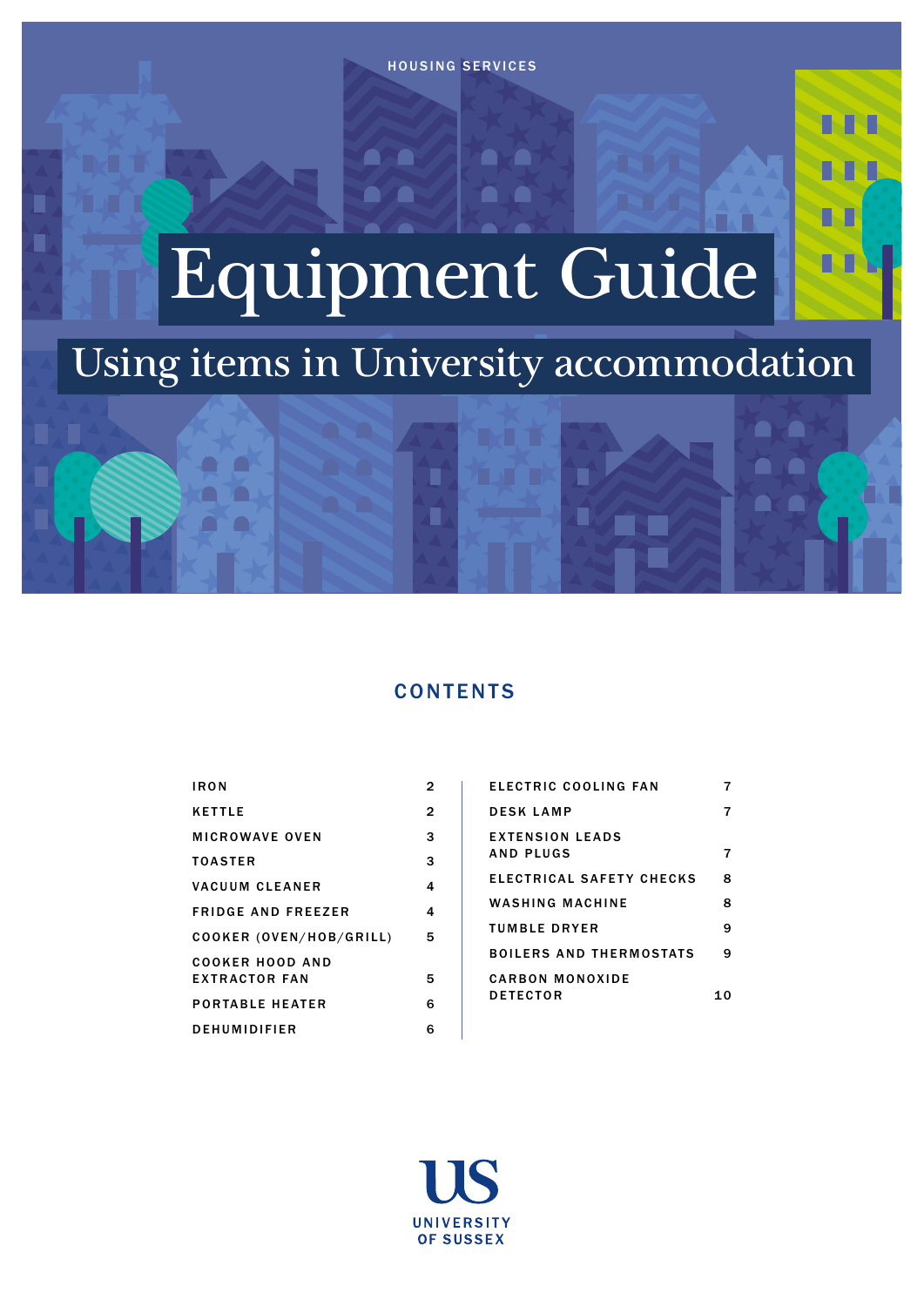**ALCOHOL:** 

ī

 $\blacksquare$ 

a a

a a

# Equipment Guide

## Using items in University accommodation

ī

Ė

## **CONTENTS**

| IR O N                                         | 2 |
|------------------------------------------------|---|
| <b>KETTLE</b>                                  | 2 |
| MICROWAVE OVEN                                 | 3 |
| <b>TOASTER</b>                                 | 3 |
| VACUUM CLEANER                                 | 4 |
| <b>FRIDGE AND FREEZER</b>                      | 4 |
| COOKER (OVEN/HOB/GRILL)                        | 5 |
| <b>COOKER HOOD AND</b><br><b>EXTRACTOR FAN</b> | 5 |
| <b>PORTABLE HEATER</b>                         | 6 |
| DEHUMIDIFIER                                   | 6 |
|                                                |   |

 $\blacksquare$ 

 $\blacksquare$ 

 $\blacksquare$ 

| ELECTRIC COOLING FAN                |   |
|-------------------------------------|---|
| <b>DESKLAMP</b>                     |   |
| <b>EXTENSION LEADS</b><br>AND PLUGS |   |
| ELECTRICAL SAFETY CHECKS            | Զ |
| WASHING MACHINE                     | я |
| TUMBLE DRYER                        | 9 |
| BOILERS AND THERMOSTATS             | q |
| CARBON MONOXIDE                     |   |
| <b>DETECTOR</b>                     |   |

м

M h

M

M

n. Ti

**A** T

 $\qquad \qquad \blacksquare$ **September** 

 $\blacksquare$ 

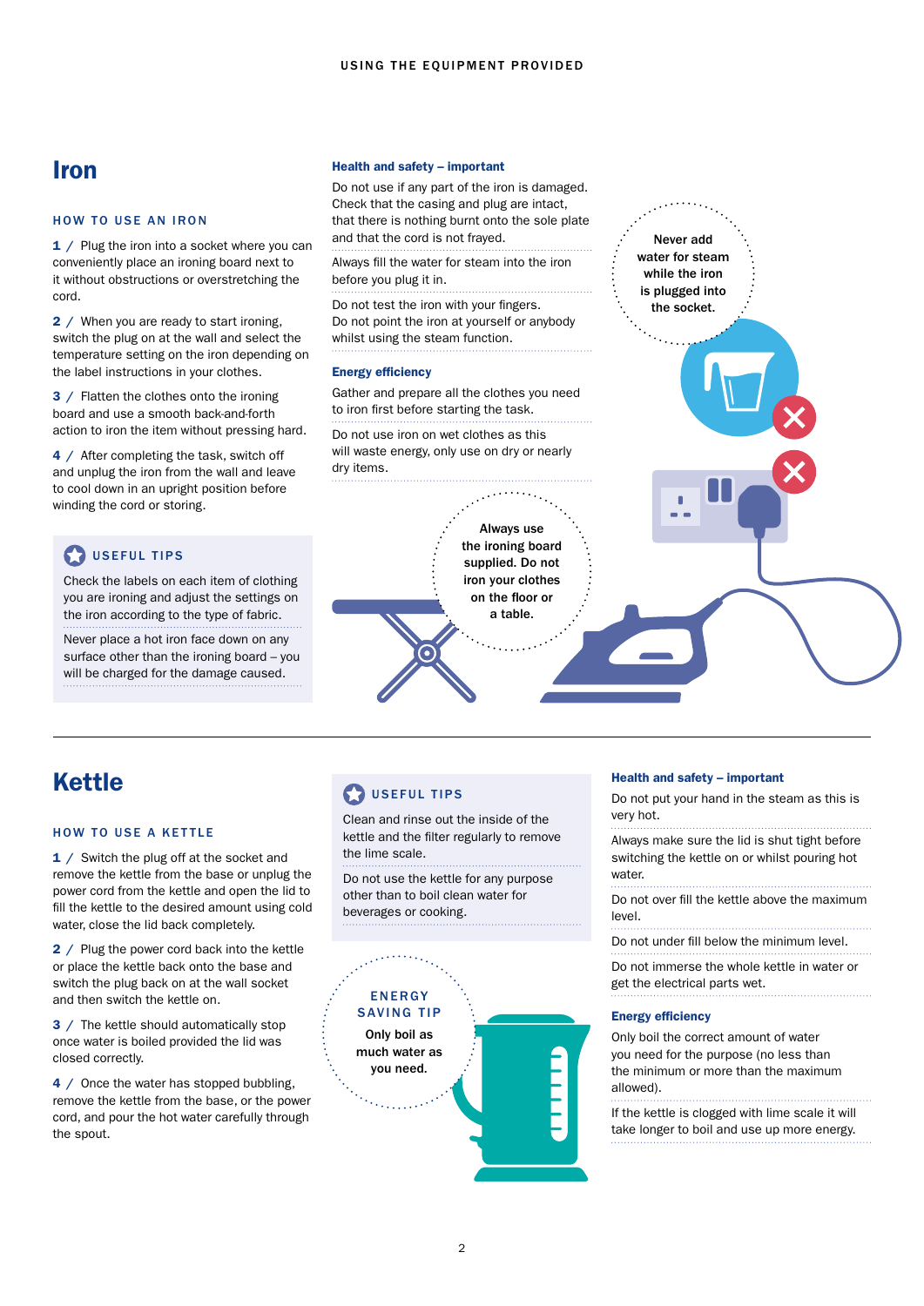## <span id="page-1-0"></span>Iron

#### HOW TO USE AN IRON

1 / Plug the iron into a socket where you can conveniently place an ironing board next to it without obstructions or overstretching the cord.

2 / When you are ready to start ironing, switch the plug on at the wall and select the temperature setting on the iron depending on the label instructions in your clothes.

3 / Flatten the clothes onto the ironing board and use a smooth back-and-forth action to iron the item without pressing hard.

4 / After completing the task, switch off and unplug the iron from the wall and leave to cool down in an upright position before winding the cord or storing.

## USEFUL TIPS

Check the labels on each item of clothing you are ironing and adjust the settings on the iron according to the type of fabric.

Never place a hot iron face down on any surface other than the ironing board – you will be charged for the damage caused.

#### Health and safety – important

Do not use if any part of the iron is damaged. Check that the casing and plug are intact, that there is nothing burnt onto the sole plate and that the cord is not frayed.

Always fill the water for steam into the iron before you plug it in.

Do not test the iron with your fingers. Do not point the iron at yourself or anybody whilst using the steam function.

#### Energy efficiency

Gather and prepare all the clothes you need to iron first before starting the task.

Do not use iron on wet clothes as this will waste energy, only use on dry or nearly dry items.

## Always use the ironing board supplied. Do not iron your clothes on the floor or a table. G

## Kettle

#### HOW TO USE A KETTLE

1 / Switch the plug off at the socket and remove the kettle from the base or unplug the power cord from the kettle and open the lid to fill the kettle to the desired amount using cold water, close the lid back completely.

2 / Plug the power cord back into the kettle or place the kettle back onto the base and switch the plug back on at the wall socket and then switch the kettle on.

3 / The kettle should automatically stop once water is boiled provided the lid was closed correctly.

4 / Once the water has stopped bubbling, remove the kettle from the base, or the power cord, and pour the hot water carefully through the spout.

## **D**USEFUL TIPS

Clean and rinse out the inside of the kettle and the filter regularly to remove the lime scale.

Do not use the kettle for any purpose other than to boil clean water for beverages or cooking.



#### Health and safety – important

Never add water for steam while the iron is plugged into the socket.

Do not put your hand in the steam as this is very hot.

Always make sure the lid is shut tight before switching the kettle on or whilst pouring hot water.

Do not over fill the kettle above the maximum level.

Do not under fill below the minimum level.

Do not immerse the whole kettle in water or get the electrical parts wet.

#### Energy efficiency

Only boil the correct amount of water you need for the purpose (no less than the minimum or more than the maximum allowed).

If the kettle is clogged with lime scale it will take longer to boil and use up more energy.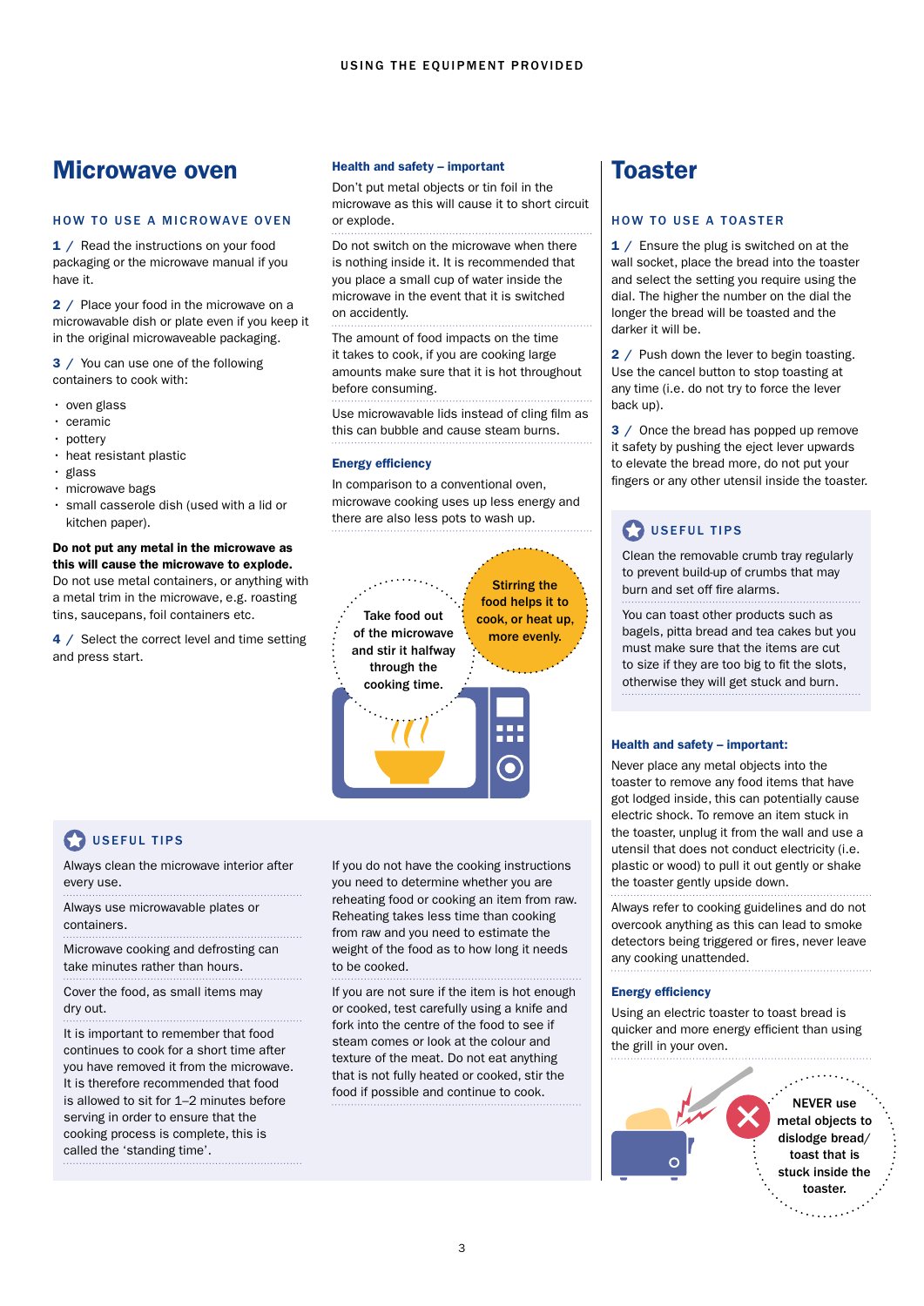## Microwave oven

#### HOW TO USE A MICROWAVE OVEN

1 / Read the instructions on your food packaging or the microwave manual if you have it.

2 / Place your food in the microwave on a microwavable dish or plate even if you keep it in the original microwaveable packaging.

3 / You can use one of the following containers to cook with:

- oven glass
- ceramic
- pottery
- heat resistant plastic
- glass
- microwave bags
- small casserole dish (used with a lid or kitchen paper).

#### Do not put any metal in the microwave as this will cause the microwave to explode. Do not use metal containers, or anything with

a metal trim in the microwave, e.g. roasting tins, saucepans, foil containers etc.

4 / Select the correct level and time setting and press start.

#### Health and safety – important

Don't put metal objects or tin foil in the microwave as this will cause it to short circuit or explode.

Do not switch on the microwave when there is nothing inside it. It is recommended that you place a small cup of water inside the microwave in the event that it is switched on accidently.

The amount of food impacts on the time it takes to cook, if you are cooking large amounts make sure that it is hot throughout before consuming.

Use microwavable lids instead of cling film as this can bubble and cause steam burns.

#### Energy efficiency

In comparison to a conventional oven, microwave cooking uses up less energy and there are also less pots to wash up.



## USEFUL TIPS

Always clean the microwave interior after every use.

Always use microwavable plates or containers.

Microwave cooking and defrosting can take minutes rather than hours.

Cover the food, as small items may dry out.

It is important to remember that food continues to cook for a short time after you have removed it from the microwave. It is therefore recommended that food is allowed to sit for 1–2 minutes before serving in order to ensure that the cooking process is complete, this is called the 'standing time'.

If you do not have the cooking instructions you need to determine whether you are reheating food or cooking an item from raw. Reheating takes less time than cooking from raw and you need to estimate the weight of the food as to how long it needs to be cooked.

If you are not sure if the item is hot enough or cooked, test carefully using a knife and fork into the centre of the food to see if steam comes or look at the colour and texture of the meat. Do not eat anything that is not fully heated or cooked, stir the food if possible and continue to cook.

## Toaster

#### HOW TO USE A TOASTER

1 / Ensure the plug is switched on at the wall socket, place the bread into the toaster and select the setting you require using the dial. The higher the number on the dial the longer the bread will be toasted and the darker it will be.

2 / Push down the lever to begin toasting. Use the cancel button to stop toasting at any time (i.e. do not try to force the lever back up).

3 / Once the bread has popped up remove it safety by pushing the eject lever upwards to elevate the bread more, do not put your fingers or any other utensil inside the toaster.

## **COUSEFUL TIPS**

Clean the removable crumb tray regularly to prevent build-up of crumbs that may burn and set off fire alarms.

You can toast other products such as bagels, pitta bread and tea cakes but you must make sure that the items are cut to size if they are too big to fit the slots, otherwise they will get stuck and burn.

#### Health and safety – important:

Never place any metal objects into the toaster to remove any food items that have got lodged inside, this can potentially cause electric shock. To remove an item stuck in the toaster, unplug it from the wall and use a utensil that does not conduct electricity (i.e. plastic or wood) to pull it out gently or shake the toaster gently upside down.

Always refer to cooking guidelines and do not overcook anything as this can lead to smoke detectors being triggered or fires, never leave any cooking unattended.

#### Energy efficiency

Using an electric toaster to toast bread is quicker and more energy efficient than using the grill in your oven.

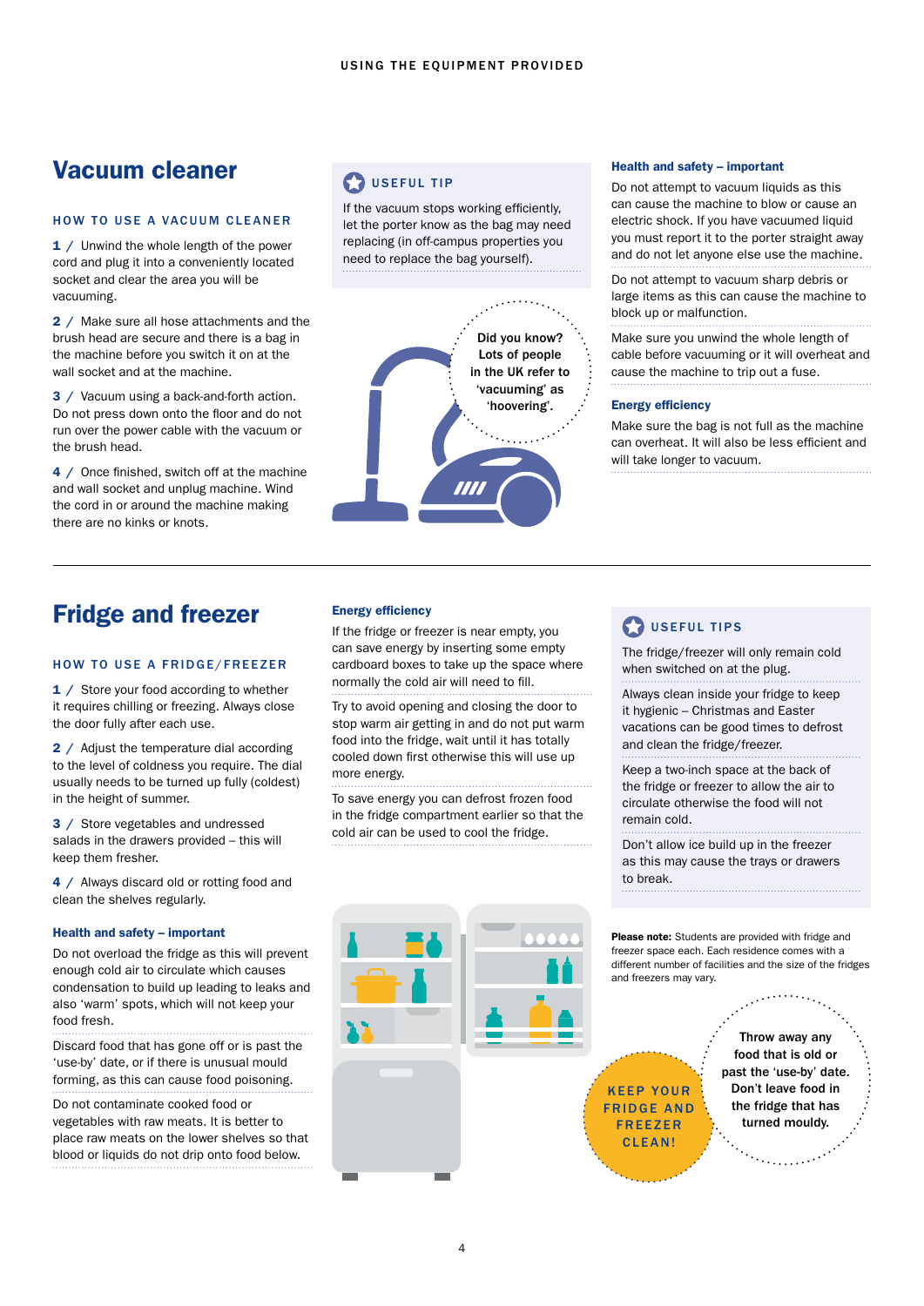## Vacuum cleaner

#### HOW TO USE A VACUUM CLEANER

1 / Unwind the whole length of the power cord and plug it into a conveniently located socket and clear the area you will be vacuuming.

2 / Make sure all hose attachments and the brush head are secure and there is a bag in the machine before you switch it on at the wall socket and at the machine.

3 / Vacuum using a back-and-forth action. Do not press down onto the floor and do not run over the power cable with the vacuum or the brush head.

4 / Once finished, switch off at the machine and wall socket and unplug machine. Wind the cord in or around the machine making there are no kinks or knots.

## **D** USEFUL TIP

If the vacuum stops working efficiently, let the porter know as the bag may need replacing (in off-campus properties you need to replace the bag yourself).



#### Health and safety – important

Do not attempt to vacuum liquids as this can cause the machine to blow or cause an electric shock. If you have vacuumed liquid you must report it to the porter straight away and do not let anyone else use the machine.

Do not attempt to vacuum sharp debris or large items as this can cause the machine to block up or malfunction.

Make sure you unwind the whole length of cable before vacuuming or it will overheat and cause the machine to trip out a fuse.

#### Energy efficiency

Make sure the bag is not full as the machine can overheat. It will also be less efficient and will take longer to vacuum.

## Fridge and freezer

#### HOW TO USE A FRIDGE/FREEZER

1 / Store your food according to whether it requires chilling or freezing. Always close the door fully after each use.

2 / Adjust the temperature dial according to the level of coldness you require. The dial usually needs to be turned up fully (coldest) in the height of summer.

3 / Store vegetables and undressed salads in the drawers provided – this will keep them fresher.

4 / Always discard old or rotting food and clean the shelves regularly.

#### Health and safety – important

Do not overload the fridge as this will prevent enough cold air to circulate which causes condensation to build up leading to leaks and also 'warm' spots, which will not keep your food fresh.

Discard food that has gone off or is past the 'use-by' date, or if there is unusual mould forming, as this can cause food poisoning.

Do not contaminate cooked food or vegetables with raw meats. It is better to place raw meats on the lower shelves so that blood or liquids do not drip onto food below.

#### Energy efficiency

If the fridge or freezer is near empty, you can save energy by inserting some empty cardboard boxes to take up the space where normally the cold air will need to fill.

Try to avoid opening and closing the door to stop warm air getting in and do not put warm food into the fridge, wait until it has totally cooled down first otherwise this will use up more energy.

To save energy you can defrost frozen food in the fridge compartment earlier so that the cold air can be used to cool the fridge.

#### USEFUL TIPS

The fridge/freezer will only remain cold when switched on at the plug.

Always clean inside your fridge to keep it hygienic – Christmas and Easter vacations can be good times to defrost and clean the fridge/freezer.

Keep a two-inch space at the back of the fridge or freezer to allow the air to circulate otherwise the food will not remain cold.

Don't allow ice build up in the freezer as this may cause the trays or drawers to break. 

Please note: Students are provided with fridge and freezer space each. Each residence comes with a different number of facilities and the size of the fridges and freezers may vary.

KEEP YOUR FRIDGE AND **FREEZER** CLEAN!

Throw away any food that is old or past the 'use-by' date. Don't leave food in the fridge that has turned mouldy.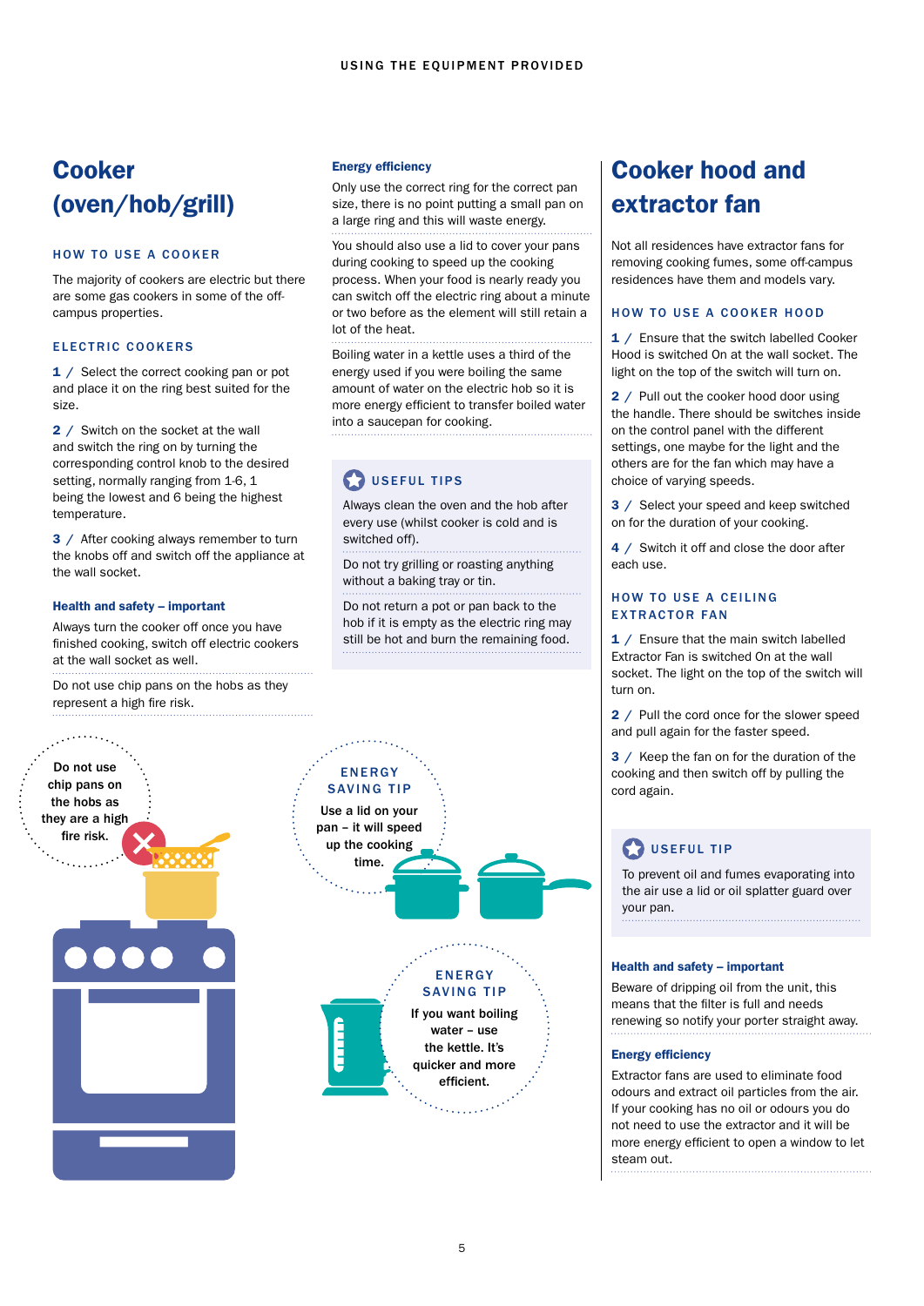## **Cooker** (oven/hob/grill)

#### HOW TO USE A COOKER

The majority of cookers are electric but there are some gas cookers in some of the offcampus properties.

#### ELECTRIC COOKERS

1 / Select the correct cooking pan or pot and place it on the ring best suited for the size.

2 / Switch on the socket at the wall and switch the ring on by turning the corresponding control knob to the desired setting, normally ranging from 1-6, 1 being the lowest and 6 being the highest temperature.

3 / After cooking always remember to turn the knobs off and switch off the appliance at the wall socket.

#### Health and safety – important

Always turn the cooker off once you have finished cooking, switch off electric cookers at the wall socket as well.

Do not use chip pans on the hobs as they represent a high fire risk.

#### Energy efficiency

Only use the correct ring for the correct pan size, there is no point putting a small pan on a large ring and this will waste energy.

You should also use a lid to cover your pans during cooking to speed up the cooking process. When your food is nearly ready you can switch off the electric ring about a minute or two before as the element will still retain a lot of the heat.

Boiling water in a kettle uses a third of the energy used if you were boiling the same amount of water on the electric hob so it is more energy efficient to transfer boiled water into a saucepan for cooking.

## **D**USEFUL TIPS

Always clean the oven and the hob after every use (whilst cooker is cold and is switched off).

Do not try grilling or roasting anything without a baking tray or tin.

Do not return a pot or pan back to the hob if it is empty as the electric ring may still be hot and burn the remaining food.



## Cooker hood and extractor fan

Not all residences have extractor fans for removing cooking fumes, some off-campus residences have them and models vary.

#### HOW TO USE A COOKER HOOD

1 / Ensure that the switch labelled Cooker Hood is switched On at the wall socket. The light on the top of the switch will turn on.

2 / Pull out the cooker hood door using the handle. There should be switches inside on the control panel with the different settings, one maybe for the light and the others are for the fan which may have a choice of varying speeds.

3 / Select your speed and keep switched on for the duration of your cooking.

4 / Switch it off and close the door after each use.

#### HOW TO USE A CEILING EXTRACTOR FAN

1 / Ensure that the main switch labelled Extractor Fan is switched On at the wall socket. The light on the top of the switch will turn on.

2 / Pull the cord once for the slower speed and pull again for the faster speed.

3 / Keep the fan on for the duration of the cooking and then switch off by pulling the cord again.

## USEFUL TIP

To prevent oil and fumes evaporating into the air use a lid or oil splatter guard over your pan.

#### Health and safety – important

Beware of dripping oil from the unit, this means that the filter is full and needs renewing so notify your porter straight away.

#### Energy efficiency

Extractor fans are used to eliminate food odours and extract oil particles from the air. If your cooking has no oil or odours you do not need to use the extractor and it will be more energy efficient to open a window to let steam out.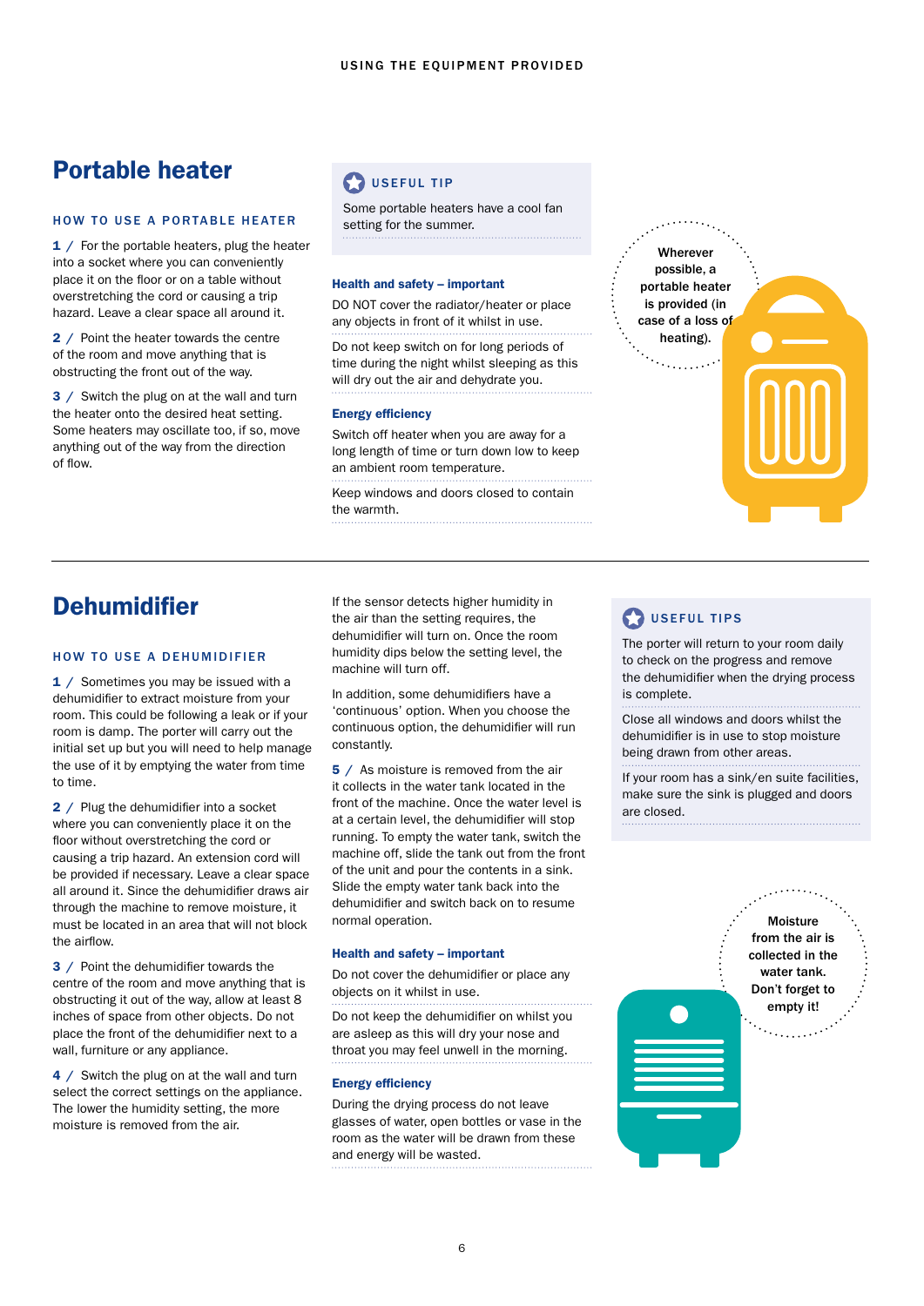## <span id="page-5-0"></span>Portable heater

#### HOW TO USE A PORTABLE HEATER

1 / For the portable heaters, plug the heater into a socket where you can conveniently place it on the floor or on a table without overstretching the cord or causing a trip hazard. Leave a clear space all around it.

2 / Point the heater towards the centre of the room and move anything that is obstructing the front out of the way.

3 / Switch the plug on at the wall and turn the heater onto the desired heat setting. Some heaters may oscillate too, if so, move anything out of the way from the direction of flow.

## **D** USEFUL TIP

Some portable heaters have a cool fan setting for the summer.

#### Health and safety – important

DO NOT cover the radiator/heater or place any objects in front of it whilst in use.

Do not keep switch on for long periods of time during the night whilst sleeping as this will dry out the air and dehydrate you.

#### Energy efficiency

Switch off heater when you are away for a long length of time or turn down low to keep an ambient room temperature.

Keep windows and doors closed to contain the warmth.



## **Dehumidifier**

#### HOW TO USE A DEHUMIDIFIER

1 / Sometimes you may be issued with a dehumidifier to extract moisture from your room. This could be following a leak or if your room is damp. The porter will carry out the initial set up but you will need to help manage the use of it by emptying the water from time to time.

2 / Plug the dehumidifier into a socket where you can conveniently place it on the floor without overstretching the cord or causing a trip hazard. An extension cord will be provided if necessary. Leave a clear space all around it. Since the dehumidifier draws air through the machine to remove moisture, it must be located in an area that will not block the airflow.

3 / Point the dehumidifier towards the centre of the room and move anything that is obstructing it out of the way, allow at least 8 inches of space from other objects. Do not place the front of the dehumidifier next to a wall, furniture or any appliance.

4 / Switch the plug on at the wall and turn select the correct settings on the appliance. The lower the humidity setting, the more moisture is removed from the air.

If the sensor detects higher humidity in the air than the setting requires, the dehumidifier will turn on. Once the room humidity dips below the setting level, the machine will turn off.

In addition, some dehumidifiers have a 'continuous' option. When you choose the continuous option, the dehumidifier will run constantly.

5 / As moisture is removed from the air it collects in the water tank located in the front of the machine. Once the water level is at a certain level, the dehumidifier will stop running. To empty the water tank, switch the machine off, slide the tank out from the front of the unit and pour the contents in a sink. Slide the empty water tank back into the dehumidifier and switch back on to resume normal operation.

#### Health and safety – important

Do not cover the dehumidifier or place any objects on it whilst in use.

Do not keep the dehumidifier on whilst you are asleep as this will dry your nose and throat you may feel unwell in the morning.

#### Energy efficiency

During the drying process do not leave glasses of water, open bottles or vase in the room as the water will be drawn from these and energy will be wasted.

## USEFUL TIPS

The porter will return to your room daily to check on the progress and remove the dehumidifier when the drying process is complete.

Close all windows and doors whilst the dehumidifier is in use to stop moisture being drawn from other areas.

If your room has a sink/en suite facilities, make sure the sink is plugged and doors are closed.

> Moisture from the air is collected in the water tank. Don't forget to empty it!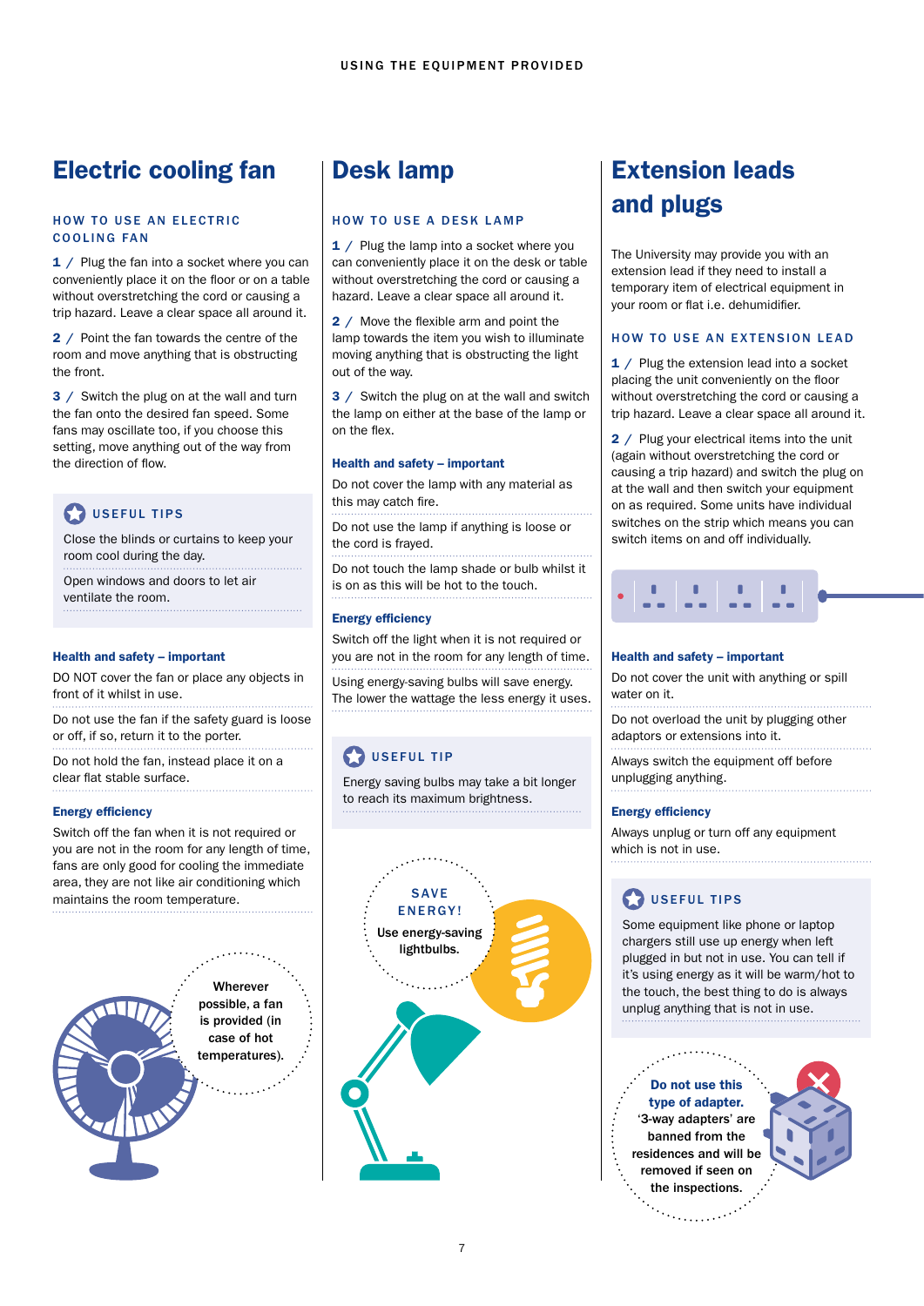## <span id="page-6-0"></span>Electric cooling fan

#### HOW TO USE AN ELECTRIC COOLING FAN

1 / Plug the fan into a socket where you can conveniently place it on the floor or on a table without overstretching the cord or causing a trip hazard. Leave a clear space all around it.

2 / Point the fan towards the centre of the room and move anything that is obstructing the front.

3 / Switch the plug on at the wall and turn the fan onto the desired fan speed. Some fans may oscillate too, if you choose this setting, move anything out of the way from the direction of flow.

## USEFUL TIPS

Close the blinds or curtains to keep your room cool during the day.

Open windows and doors to let air ventilate the room.

#### Health and safety – important

DO NOT cover the fan or place any objects in front of it whilst in use.

Do not use the fan if the safety guard is loose or off, if so, return it to the porter.

Do not hold the fan, instead place it on a clear flat stable surface. 

#### Energy efficiency

Switch off the fan when it is not required or you are not in the room for any length of time, fans are only good for cooling the immediate area, they are not like air conditioning which maintains the room temperature.

**Wherever** possible, a fan is provided (in case of hot temperatures).

## Desk lamp

#### HOW TO USE A DESK LAMP

1 / Plug the lamp into a socket where you can conveniently place it on the desk or table without overstretching the cord or causing a hazard. Leave a clear space all around it.

2 / Move the flexible arm and point the lamp towards the item you wish to illuminate moving anything that is obstructing the light out of the way.

3 / Switch the plug on at the wall and switch the lamp on either at the base of the lamp or on the flex.

#### Health and safety – important

Do not cover the lamp with any material as this may catch fire.

Do not use the lamp if anything is loose or the cord is frayed.

Do not touch the lamp shade or bulb whilst it is on as this will be hot to the touch.

#### Energy efficiency

Switch off the light when it is not required or you are not in the room for any length of time.

Using energy-saving bulbs will save energy. The lower the wattage the less energy it uses.

## **D** USEFUL TIP

Energy saving bulbs may take a bit longer to reach its maximum brightness.



## Extension leads and plugs

The University may provide you with an extension lead if they need to install a temporary item of electrical equipment in your room or flat i.e. dehumidifier.

#### HOW TO USE AN EXTENSION LEAD

1 / Plug the extension lead into a socket placing the unit conveniently on the floor without overstretching the cord or causing a trip hazard. Leave a clear space all around it.

2 / Plug your electrical items into the unit (again without overstretching the cord or causing a trip hazard) and switch the plug on at the wall and then switch your equipment on as required. Some units have individual switches on the strip which means you can switch items on and off individually.



#### Health and safety – important

Do not cover the unit with anything or spill water on it.

Do not overload the unit by plugging other adaptors or extensions into it.

Always switch the equipment off before unplugging anything. 

#### Energy efficiency

Always unplug or turn off any equipment which is not in use.

## **D** USEFUL TIPS

Some equipment like phone or laptop chargers still use up energy when left plugged in but not in use. You can tell if it's using energy as it will be warm/hot to the touch, the best thing to do is always unplug anything that is not in use.

Do not use this type of adapter. '3-way adapters' are banned from the residences and will be removed if seen on the inspections.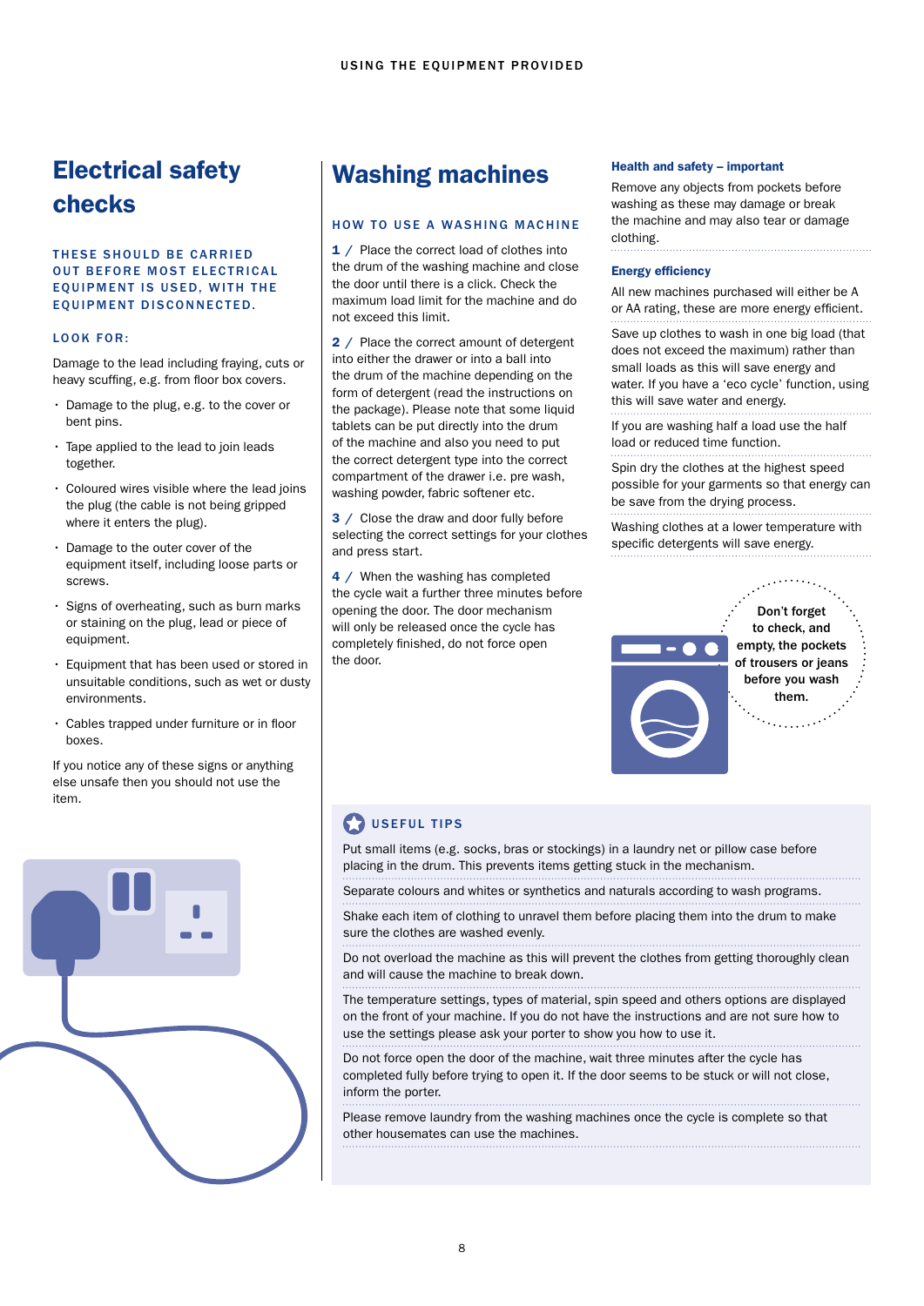## Electrical safety checks

#### THESE SHOULD BE CARRIED **OUT BEFORE MOST ELECTRICAL** EQUIPMENT IS USED. WITH THE EQUIPMENT DISCONNECTED.

#### LOOK FOR:

Damage to the lead including fraying, cuts or heavy scuffing, e.g. from floor box covers.

- Damage to the plug, e.g. to the cover or bent pins.
- Tape applied to the lead to join leads together.
- Coloured wires visible where the lead joins the plug (the cable is not being gripped where it enters the plug).
- Damage to the outer cover of the equipment itself, including loose parts or screws.
- Signs of overheating, such as burn marks or staining on the plug, lead or piece of equipment.
- Equipment that has been used or stored in unsuitable conditions, such as wet or dusty environments.
- Cables trapped under furniture or in floor boxes.

If you notice any of these signs or anything else unsafe then you should not use the item.



## Washing machines

#### HOW TO USE A WASHING MACHINE

1 / Place the correct load of clothes into the drum of the washing machine and close the door until there is a click. Check the maximum load limit for the machine and do not exceed this limit.

2 / Place the correct amount of detergent into either the drawer or into a ball into the drum of the machine depending on the form of detergent (read the instructions on the package). Please note that some liquid tablets can be put directly into the drum of the machine and also you need to put the correct detergent type into the correct compartment of the drawer i.e. pre wash, washing powder, fabric softener etc.

3 / Close the draw and door fully before selecting the correct settings for your clothes and press start.

4 / When the washing has completed the cycle wait a further three minutes before opening the door. The door mechanism will only be released once the cycle has completely finished, do not force open the door.

#### Health and safety – important

Remove any objects from pockets before washing as these may damage or break the machine and may also tear or damage clothing.

#### Energy efficiency

All new machines purchased will either be A or AA rating, these are more energy efficient.

Save up clothes to wash in one big load (that does not exceed the maximum) rather than small loads as this will save energy and water. If you have a 'eco cycle' function, using this will save water and energy.

If you are washing half a load use the half load or reduced time function.

Spin dry the clothes at the highest speed possible for your garments so that energy can be save from the drying process.

Washing clothes at a lower temperature with specific detergents will save energy.



## **D** USEFUL TIPS

Put small items (e.g. socks, bras or stockings) in a laundry net or pillow case before placing in the drum. This prevents items getting stuck in the mechanism.

Separate colours and whites or synthetics and naturals according to wash programs.

Shake each item of clothing to unravel them before placing them into the drum to make sure the clothes are washed evenly.

Do not overload the machine as this will prevent the clothes from getting thoroughly clean and will cause the machine to break down.

The temperature settings, types of material, spin speed and others options are displayed on the front of your machine. If you do not have the instructions and are not sure how to use the settings please ask your porter to show you how to use it.

Do not force open the door of the machine, wait three minutes after the cycle has completed fully before trying to open it. If the door seems to be stuck or will not close, inform the porter.

Please remove laundry from the washing machines once the cycle is complete so that other housemates can use the machines.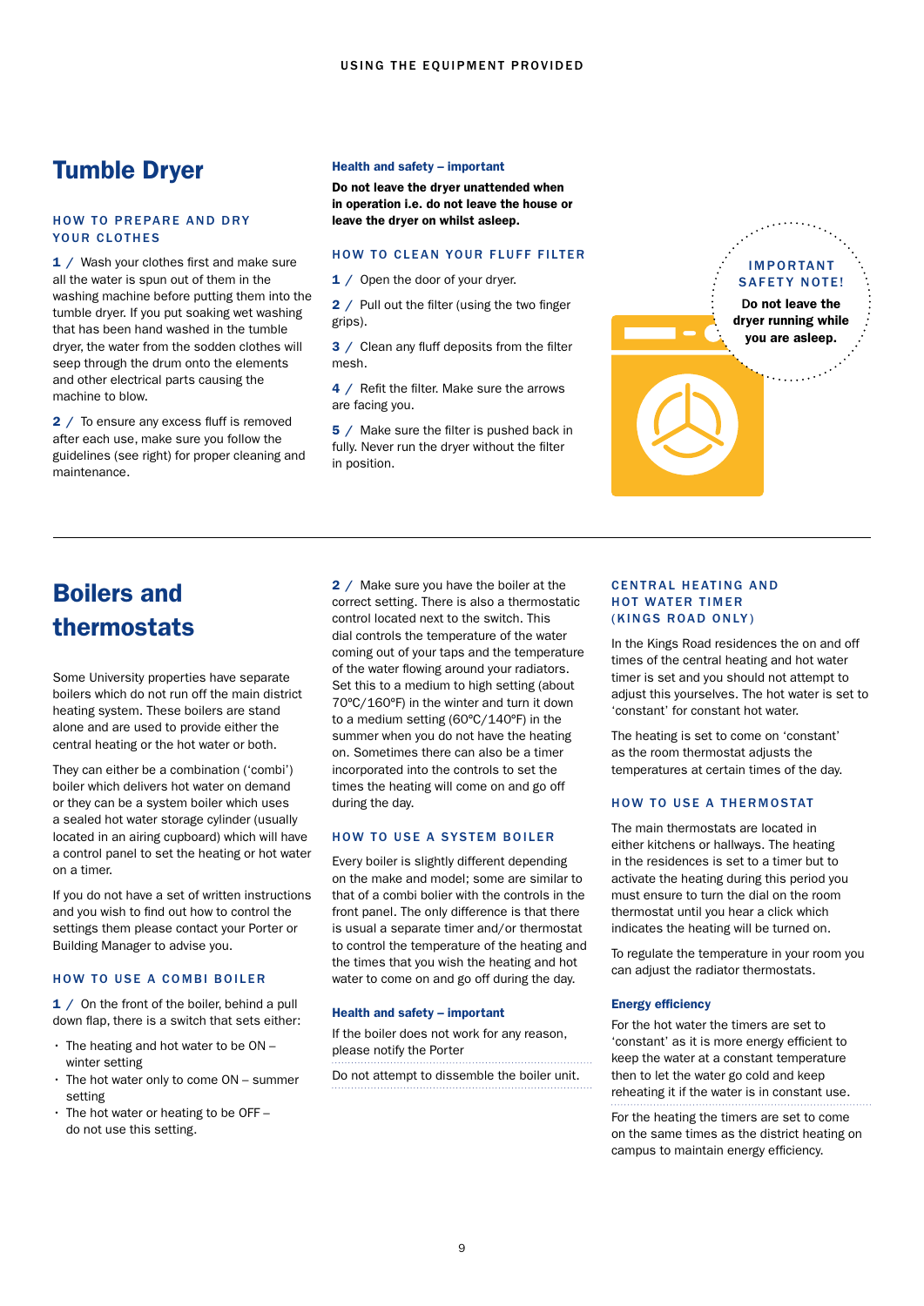## Tumble Dryer

#### HOW TO PREPARE AND DRY YOUR CLOTHES

1 / Wash your clothes first and make sure all the water is spun out of them in the washing machine before putting them into the tumble dryer. If you put soaking wet washing that has been hand washed in the tumble dryer, the water from the sodden clothes will seep through the drum onto the elements and other electrical parts causing the machine to blow.

2 / To ensure any excess fluff is removed after each use, make sure you follow the guidelines (see right) for proper cleaning and maintenance.

#### Health and safety – important

Do not leave the dryer unattended when in operation i.e. do not leave the house or leave the dryer on whilst asleep.

#### HOW TO CLEAN YOUR FLUFF FILTER

1 / Open the door of your dryer.

2 / Pull out the filter (using the two finger grips).

3 / Clean any fluff deposits from the filter mesh.

4 / Refit the filter. Make sure the arrows are facing you.

5 / Make sure the filter is pushed back in fully. Never run the dryer without the filter in position.



## Boilers and thermostats

Some University properties have separate boilers which do not run off the main district heating system. These boilers are stand alone and are used to provide either the central heating or the hot water or both.

They can either be a combination ('combi') boiler which delivers hot water on demand or they can be a system boiler which uses a sealed hot water storage cylinder (usually located in an airing cupboard) which will have a control panel to set the heating or hot water on a timer.

If you do not have a set of written instructions and you wish to find out how to control the settings them please contact your Porter or Building Manager to advise you.

#### HOW TO USE A COMBI BOILER

1 / On the front of the boiler, behind a pull down flap, there is a switch that sets either:

- $\cdot$  The heating and hot water to be ON winter setting
- The hot water only to come ON summer setting
- The hot water or heating to be OFF do not use this setting.

2 / Make sure you have the boiler at the correct setting. There is also a thermostatic control located next to the switch. This dial controls the temperature of the water coming out of your taps and the temperature of the water flowing around your radiators. Set this to a medium to high setting (about 70ºC/160ºF) in the winter and turn it down to a medium setting (60ºC/140ºF) in the summer when you do not have the heating on. Sometimes there can also be a timer incorporated into the controls to set the times the heating will come on and go off during the day.

#### HOW TO USE A SYSTEM BOILER

Every boiler is slightly different depending on the make and model; some are similar to that of a combi bolier with the controls in the front panel. The only difference is that there is usual a separate timer and/or thermostat to control the temperature of the heating and the times that you wish the heating and hot water to come on and go off during the day.

#### Health and safety – important

If the boiler does not work for any reason, please notify the Porter

Do not attempt to dissemble the boiler unit.

#### CENTRAL HEATING AND HOT WATER TIMER (KINGS ROAD ONLY)

In the Kings Road residences the on and off times of the central heating and hot water timer is set and you should not attempt to adjust this yourselves. The hot water is set to 'constant' for constant hot water.

The heating is set to come on 'constant' as the room thermostat adjusts the temperatures at certain times of the day.

#### HOW TO USE A THERMOSTAT

The main thermostats are located in either kitchens or hallways. The heating in the residences is set to a timer but to activate the heating during this period you must ensure to turn the dial on the room thermostat until you hear a click which indicates the heating will be turned on.

To regulate the temperature in your room you can adjust the radiator thermostats.

#### Energy efficiency

For the hot water the timers are set to 'constant' as it is more energy efficient to keep the water at a constant temperature then to let the water go cold and keep reheating it if the water is in constant use.

For the heating the timers are set to come on the same times as the district heating on campus to maintain energy efficiency.